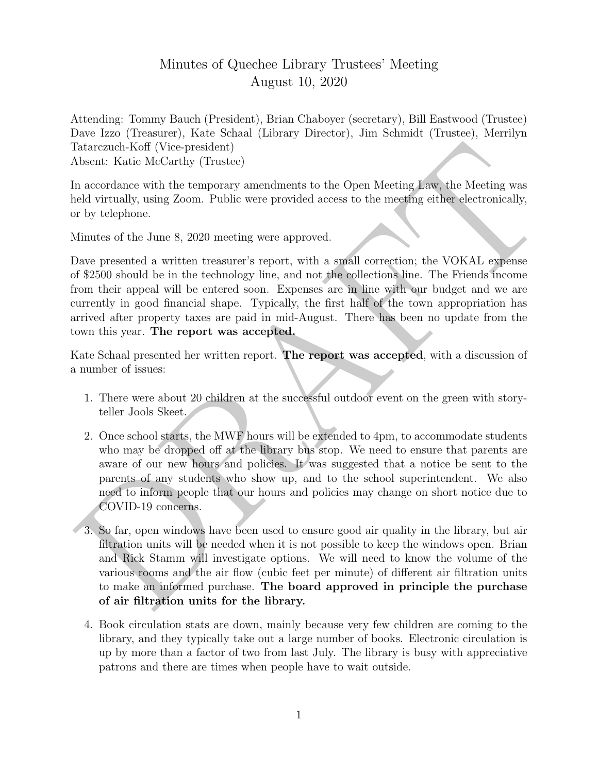## Minutes of Quechee Library Trustees' Meeting August 10, 2020

Attending: Tommy Bauch (President), Brian Chaboyer (secretary), Bill Eastwood (Trustee) Dave Izzo (Treasurer), Kate Schaal (Library Director), Jim Schmidt (Trustee), Merrilyn Tatarczuch-Koff (Vice-president) Absent: Katie McCarthy (Trustee)

In accordance with the temporary amendments to the Open Meeting Law, the Meeting was held virtually, using Zoom. Public were provided access to the meeting either electronically, or by telephone.

Minutes of the June 8, 2020 meeting were approved.

Dotarezad-Koff (Vice-president)<br>
absert: Katie MeGrathy (Thustee)<br>
a accordance with the temporary annear<br>Immediate to the Open Meeting Jaw, the Meeting was neld virtually, using Zoom. Public were provided access to the m Dave presented a written treasurer's report, with a small correction; the VOKAL expense of \$2500 should be in the technology line, and not the collections line. The Friends income from their appeal will be entered soon. Expenses are in line with our budget and we are currently in good financial shape. Typically, the first half of the town appropriation has arrived after property taxes are paid in mid-August. There has been no update from the town this year. The report was accepted.

Kate Schaal presented her written report. The report was accepted, with a discussion of a number of issues:

- 1. There were about 20 children at the successful outdoor event on the green with storyteller Jools Skeet.
- 2. Once school starts, the MWF hours will be extended to 4pm, to accommodate students who may be dropped off at the library bus stop. We need to ensure that parents are aware of our new hours and policies. It was suggested that a notice be sent to the parents of any students who show up, and to the school superintendent. We also need to inform people that our hours and policies may change on short notice due to COVID-19 concerns.
- 3. So far, open windows have been used to ensure good air quality in the library, but air filtration units will be needed when it is not possible to keep the windows open. Brian and Rick Stamm will investigate options. We will need to know the volume of the various rooms and the air flow (cubic feet per minute) of different air filtration units to make an informed purchase. The board approved in principle the purchase of air filtration units for the library.
- 4. Book circulation stats are down, mainly because very few children are coming to the library, and they typically take out a large number of books. Electronic circulation is up by more than a factor of two from last July. The library is busy with appreciative patrons and there are times when people have to wait outside.